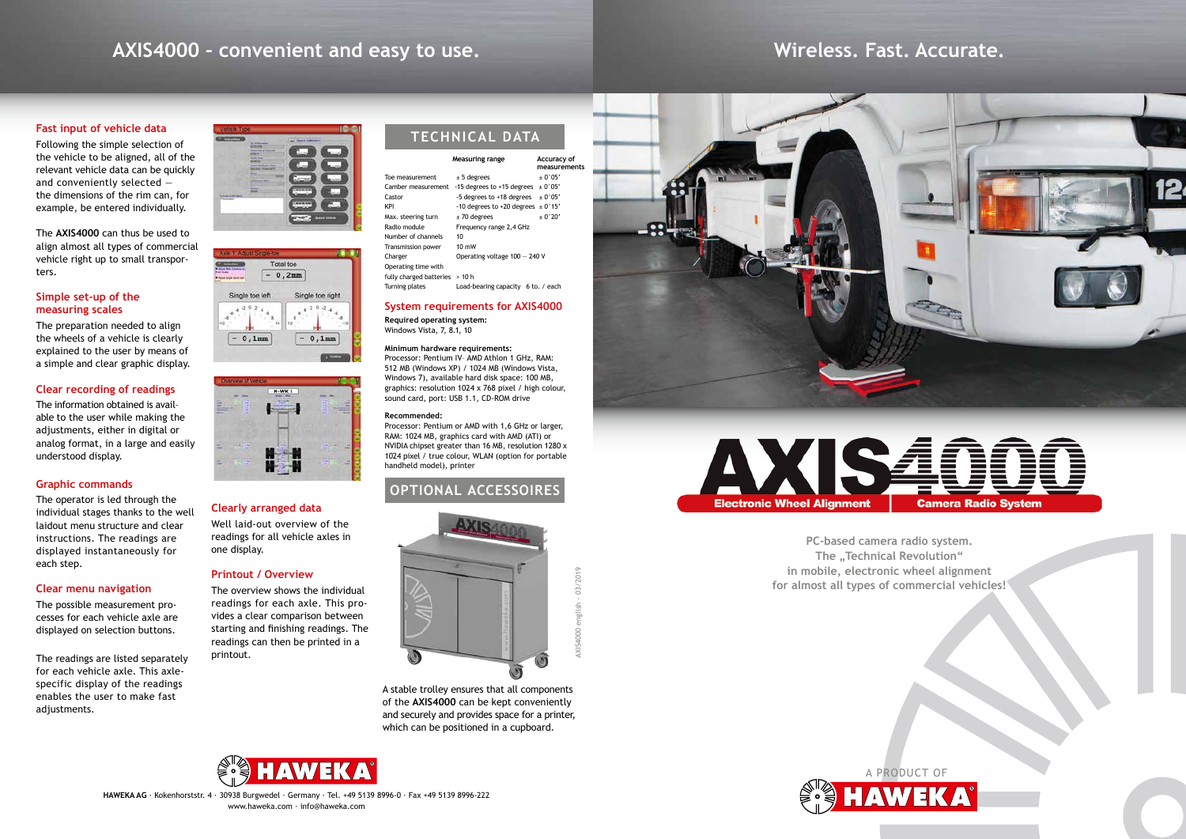# **AXIS4000 – convenient and easy to use.**

## **Fast input of vehicle data**

Following the simple selection of the vehicle to be aligned, all of the relevant vehicle data can be quickly and conveniently selected the dimensions of the rim can, for example, be entered individually.

The **AXIS4000** can thus be used to align almost all types of commercial vehicle right up to small transporters.

## **Simple set-up of the measuring scales**

The preparation needed to align the wheels of a vehicle is clearly explained to the user by means of a simple and clear graphic display.

# **Clear recording of readings**

The information obtained is avail– able to the user while making the adjustments, either in digital or analog format, in a large and easily understood display.

# **Graphic commands**

The operator is led through the individual stages thanks to the well laidout menu structure and clear instructions. The readings are displayed instantaneously for each step.

Processor: Pentium IV– AMD Athlon 1 GHz, RAM: 512 MB (Windows XP) / 1024 MB (Windows Vista, Windows 7), available hard disk space: 100 MB, graphics: resolution 1024 x 768 pixel / high colour, sound card, port: USB 1.1, CD-ROM drive

## **Clear menu navigation**

The possible measurement processes for each vehicle axle are displayed on selection buttons.

The readings are listed separately for each vehicle axle. This axlespecific display of the readings enables the user to make fast adjustments.







## **Clearly arranged data**

Well laid-out overview of the readings for all vehicle axles in one display.

# **Printout / Overview**

The overview shows the individual readings for each axle. This provides a clear comparison between starting and finishing readings. The readings can then be printed in a printout.

> A stable trolley ensures that all components of the **AXIS4000** can be kept conveniently and securely and provides space for a printer, which can be positioned in a cupboard.





## **System requirements for AXIS4000**

**Required operating system:** Windows Vista, 7, 8.1, 10

### **Minimum hardware requirements:**

### **Recommended:**

Processor: Pentium or AMD with 1,6 GHz or larger, RAM: 1024 MB, graphics card with AMD (ATI) or NVIDIA chipset greater than 16 MB, resolution 1280 x 1024 pixel / true colour, WLAN (option for portable handheld model), printer

|                         | Measuring range                    | Accuracy of<br>measurements |
|-------------------------|------------------------------------|-----------------------------|
| Toe measurement         | $± 5$ degrees                      | $+0°05'$                    |
| Camber measurement      | -15 degrees to +15 degrees         | $+0°05'$                    |
| Castor                  | -5 degrees to +18 degrees          | $+0°05'$                    |
| KPI                     | -10 degrees to +20 degrees         | $+0°15'$                    |
| Max. steering turn      | $± 70$ degrees                     | ± 0°20'                     |
| Radio module            | Frequency range 2,4 GHz            |                             |
| Number of channels      | 10                                 |                             |
| Transmission power      | $10 \text{ mW}$                    |                             |
| Charger                 | Operating voltage $100 - 240$ V    |                             |
| Operating time with     |                                    |                             |
| fully charged batteries | > 10 h                             |                             |
| Turning plates          | Load-bearing capacity 6 to. / each |                             |

# **OPTIONAL ACCESSOIRES**



# **Wireless. Fast. Accurate.**







**PC-based camera radio system. The "Technical Revolution" in mobile, electronic wheel alignment for almost all types of commercial vehicles!**

**HAWEKA AG** · Kokenhorststr. 4 · 30938 Burgwedel · Germany · Tel. +49 5139 8996-0 · Fax +49 5139 8996-222 www.haweka.com · info@haweka.com